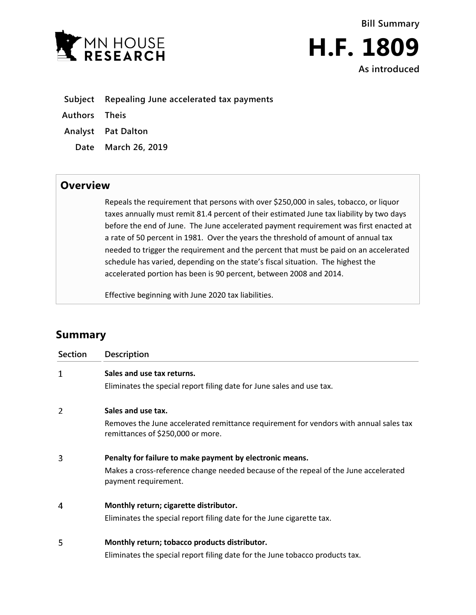



**Subject Repealing June accelerated tax payments**

**Authors Theis**

**Analyst Pat Dalton**

**Date March 26, 2019**

## **Overview**

Repeals the requirement that persons with over \$250,000 in sales, tobacco, or liquor taxes annually must remit 81.4 percent of their estimated June tax liability by two days before the end of June. The June accelerated payment requirement was first enacted at a rate of 50 percent in 1981. Over the years the threshold of amount of annual tax needed to trigger the requirement and the percent that must be paid on an accelerated schedule has varied, depending on the state's fiscal situation. The highest the accelerated portion has been is 90 percent, between 2008 and 2014.

Effective beginning with June 2020 tax liabilities.

## **Summary**

| Section | Description                                                                                                                |
|---------|----------------------------------------------------------------------------------------------------------------------------|
| 1       | Sales and use tax returns.                                                                                                 |
|         | Eliminates the special report filing date for June sales and use tax.                                                      |
| 2       | Sales and use tax.                                                                                                         |
|         | Removes the June accelerated remittance requirement for vendors with annual sales tax<br>remittances of \$250,000 or more. |
| 3       | Penalty for failure to make payment by electronic means.                                                                   |
|         | Makes a cross-reference change needed because of the repeal of the June accelerated<br>payment requirement.                |
| 4       | Monthly return; cigarette distributor.                                                                                     |
|         | Eliminates the special report filing date for the June cigarette tax.                                                      |
| 5       | Monthly return; tobacco products distributor.                                                                              |
|         | Eliminates the special report filing date for the June tobacco products tax.                                               |